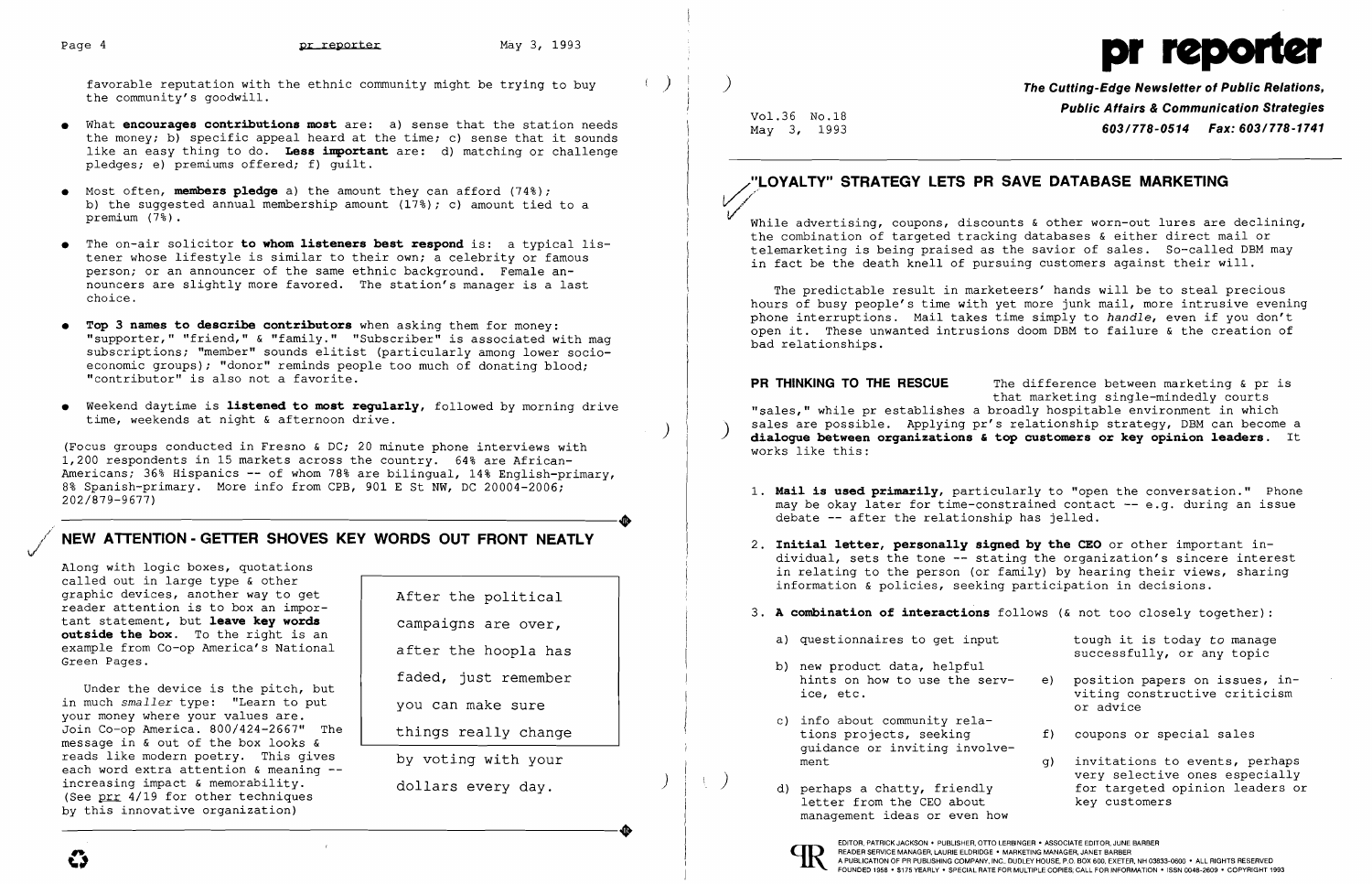favorable reputation with the ethnic community might be trying to buy  $($ ) the community's goodwill.

- What **encourages contributions most** are: a) sense that the station needs the money; b) specific appeal heard at the time; c) sense that it sounds like an easy thing to do. **Less important** are: d) matching or challenge pledges; e) premiums offered; f) guilt.
- • Most often, **members pledge** a) the amount they can afford (74%); b) the suggested annual membership amount  $(17%)$ ; c) amount tied to a premium (7%).
- • The on-air solicitor **to whom listeners best respond** is: a typical listener whose lifestyle is similar to their own; a celebrity or famous person; or an announcer of the same ethnic background. Female announcers are slightly more favored. The station's manager is a last choice.
- **• Top 3 names to describe contributors** when asking them for money: "supporter," "friend," & "family." "Subscriber" is associated with mag subscriptions; "member" sounds elitist (particularly among lower socioeconomic groups); "donor" reminds people too much of donating blood; "contributor" is also not a favorite.
- • Weekend daytime is **listened to most reqularly,** followed by morning drive time, weekends at night & afternoon drive.



Under the device is the pitch, but in much *smaller* type: "Learn to put your money where your values are. Join Co-op America. 800/424-2667" The message in & out of the box looks & reads like modern poetry. This gives each word extra attention & meaning -increasing impact & memorability. (See  $\frac{pr}{4}$  4/19 for other techniques by this innovative organization) Thereasing impact a memorability.<br>
(See prr 4/19 for other techniques<br>
by this innovative organization)

(Focus groups conducted in Fresno & DC; 20 minute phone interviews with 1,200 respondents in 15 markets across the country. 64% are African-Americans; 36% Hispanics **--** of whom 78% are bilingual, 14% English-primary, Americans, 30% Hispanics -- Of whom 76% are billingual, 14% English-primary,<br>8% Spanish-primary. More info from CPB, 901 E St NW, DC 20004-2006;<br>202/879-9677) 202/879-9677)

### NEW ATTENTION - GETTER SHOVES KEY WORDS OUT FRONT NEATLY

While advertising, coupons, discounts & other worn-out lures are declining, the combination of targeted tracking databases & either direct mail or telemarketing is being praised as the savior of sales. So-called DBM may in fact be the death knell of pursuing customers against their will.

Along with logic boxes, quotations called out in large type & other graphic devices, another way to get reader attention is to box an important statement, but **leave key words outside the box.** To the right is an example from Co-op America's National Green Pages.

After the political campaigns are over, after the hoopla has faded, just remember you can make sure things really change by voting with your

dollars every day.

) **The Cutting-Edge Newsletter of Public Relations,**  Vol.36 No.18 **Public Affairs & Communication Strategies**  May 3, 1993 *603/778-0514 Fax: 603/778-1741* 

*V.,./* 

## "LOYALTY" STRATEGY LETS PR SAVE DATABASE MARKETING

The predictable result in marketeers' hands will be to steal precious hours of busy people's time with yet more junk mail, more intrusive evening phone interruptions. Mail takes time simply to *handle,* even if you don't open it. These unwanted intrusions doom DBM to failure & the creation of bad relationships.

**PR THINKING TO THE RESCUE** The difference between marketing & pr is that marketing single-mindedly courts "sales," while pr establishes a broadly hospitable environment in which sales are possible. Applying pr's relationship strategy, DBM can become a **dialogue between organizations & top customers or key opinion leaders**. It works like this:

1. **Mail is used primarily,** particularly to "open the conversation." Phone may be okay later for time-constrained contact **--** e.g. during an issue

2. **Initial letter, personally signed by the CEO** or other important individual, sets the tone **--** stating the organization's sincere interest in relating to the person (or family) by hearing their views, sharing

successfully, or any topic

- hints on how to use the serv- e) position papers on issues, in-<br>ice, etc.  $\begin{array}{ccc} \n\text{with } q \text{ is } 0.5 \n\end{array}$ viting constructive criticism or advice
	- f) coupons or special sales
- g) invitations to events, perhaps<br>very selective ones especially d) perhaps a chatty, friendly  $\rule{1em}{0.5em}$  for targeted opinion leaders or letter from the CEO about  $\rule{1.5em}{0.5em}$  key customers
- debate **--** after the relationship has jelled.
- information & policies, seeking participation in decisions.
- 3. **A combination of interactions** follows (& not too closely together):
	- a) questionnaires to get input tough it is today to manage
	- b) new product data, helpful<br>hints on how to use the serv-
	- c) info about community rela-<br>tions projects, seeking guidance or inviting involve-
	- letter from the CEO about management ideas or even how



EDITOR, PATRICK JACKSON' PUBLISHER, OTTO LERBINGER • ASSOCIATE EDITOR, JUNE BARBER